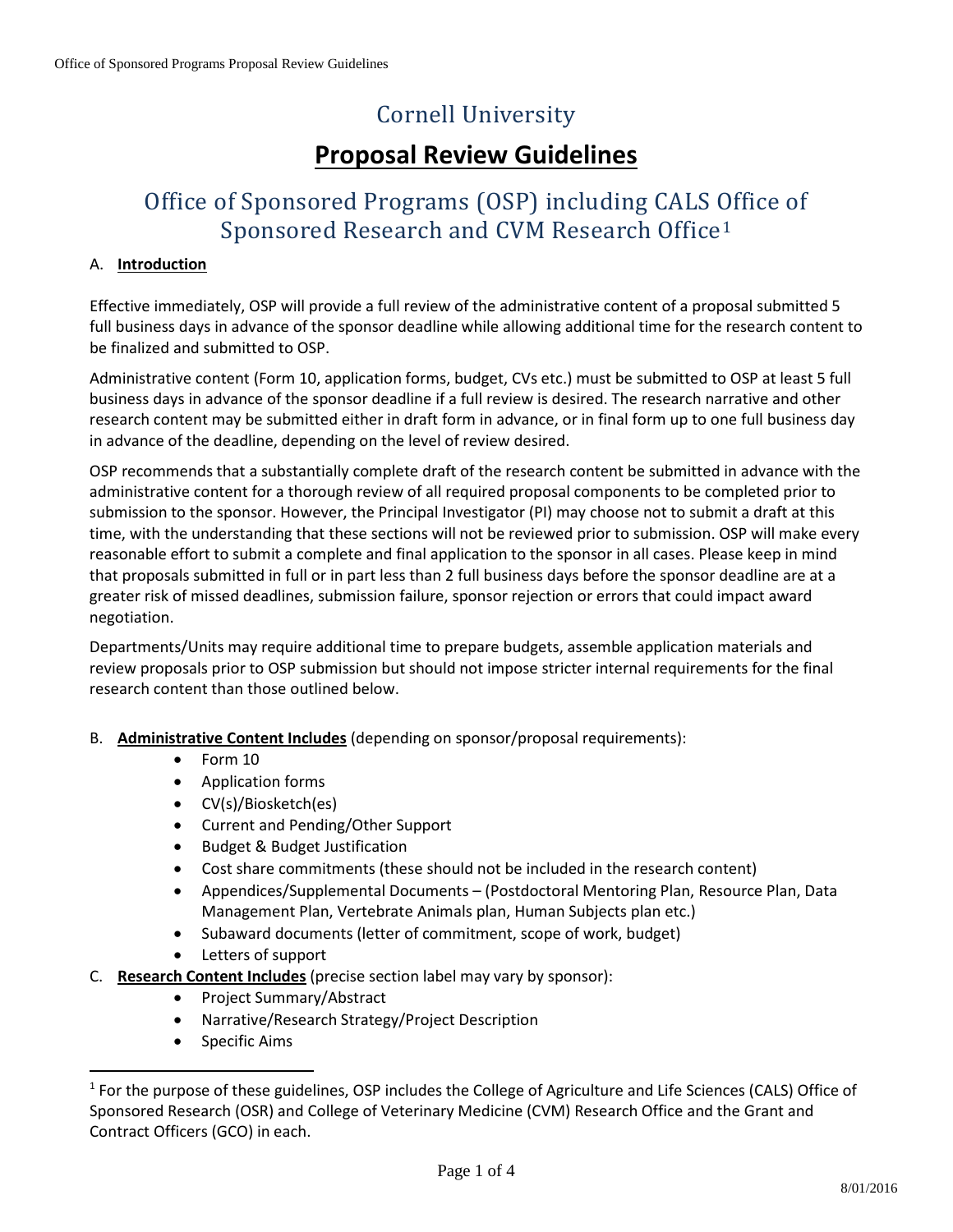# Cornell University

## **Proposal Review Guidelines**

### Office of Sponsored Programs (OSP) including CALS Office of Sponsored Research and CVM Research Office[1](#page-0-0)

#### A. **Introduction**

Effective immediately, OSP will provide a full review of the administrative content of a proposal submitted 5 full business days in advance of the sponsor deadline while allowing additional time for the research content to be finalized and submitted to OSP.

Administrative content (Form 10, application forms, budget, CVs etc.) must be submitted to OSP at least 5 full business days in advance of the sponsor deadline if a full review is desired. The research narrative and other research content may be submitted either in draft form in advance, or in final form up to one full business day in advance of the deadline, depending on the level of review desired.

OSP recommends that a substantially complete draft of the research content be submitted in advance with the administrative content for a thorough review of all required proposal components to be completed prior to submission to the sponsor. However, the Principal Investigator (PI) may choose not to submit a draft at this time, with the understanding that these sections will not be reviewed prior to submission. OSP will make every reasonable effort to submit a complete and final application to the sponsor in all cases. Please keep in mind that proposals submitted in full or in part less than 2 full business days before the sponsor deadline are at a greater risk of missed deadlines, submission failure, sponsor rejection or errors that could impact award negotiation.

Departments/Units may require additional time to prepare budgets, assemble application materials and review proposals prior to OSP submission but should not impose stricter internal requirements for the final research content than those outlined below.

- B. **Administrative Content Includes** (depending on sponsor/proposal requirements):
	- Form 10
	- Application forms
	- CV(s)/Biosketch(es)
	- Current and Pending/Other Support
	- Budget & Budget Justification
	- Cost share commitments (these should not be included in the research content)
	- Appendices/Supplemental Documents (Postdoctoral Mentoring Plan, Resource Plan, Data Management Plan, Vertebrate Animals plan, Human Subjects plan etc.)
	- Subaward documents (letter of commitment, scope of work, budget)
	- Letters of support
- C. **Research Content Includes** (precise section label may vary by sponsor):
	- Project Summary/Abstract
	- Narrative/Research Strategy/Project Description
	- Specific Aims

<span id="page-0-0"></span><sup>&</sup>lt;sup>1</sup> For the purpose of these guidelines, OSP includes the College of Agriculture and Life Sciences (CALS) Office of Sponsored Research (OSR) and College of Veterinary Medicine (CVM) Research Office and the Grant and Contract Officers (GCO) in each.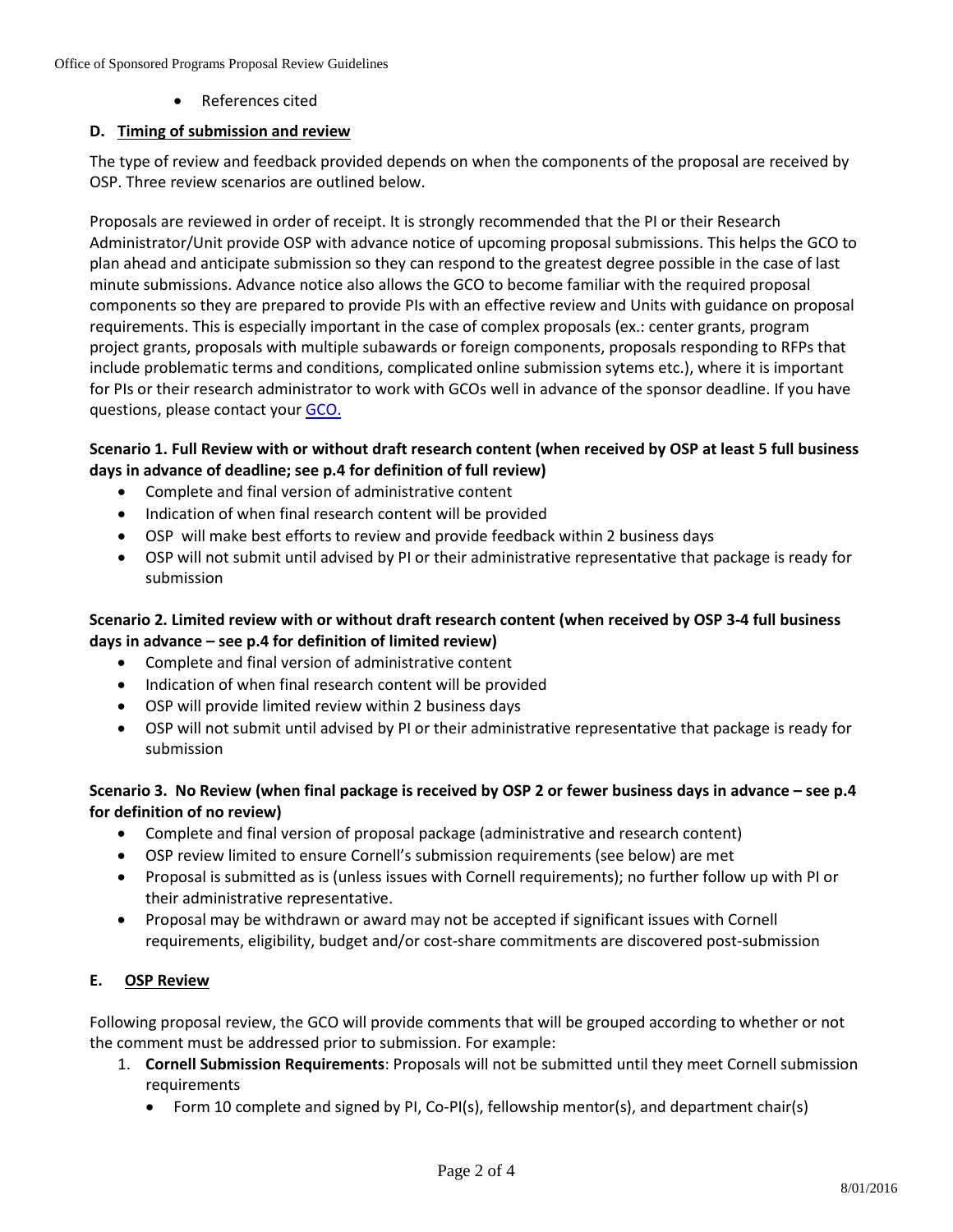• References cited

#### **D. Timing of submission and review**

The type of review and feedback provided depends on when the components of the proposal are received by OSP. Three review scenarios are outlined below.

Proposals are reviewed in order of receipt. It is strongly recommended that the PI or their Research Administrator/Unit provide OSP with advance notice of upcoming proposal submissions. This helps the GCO to plan ahead and anticipate submission so they can respond to the greatest degree possible in the case of last minute submissions. Advance notice also allows the GCO to become familiar with the required proposal components so they are prepared to provide PIs with an effective review and Units with guidance on proposal requirements. This is especially important in the case of complex proposals (ex.: center grants, program project grants, proposals with multiple subawards or foreign components, proposals responding to RFPs that include problematic terms and conditions, complicated online submission sytems etc.), where it is important for PIs or their research administrator to work with GCOs well in advance of the sponsor deadline. If you have questions, please contact you[r GCO.](https://www.osp.cornell.edu/Contacts/whoismygco.html)

#### **Scenario 1. Full Review with or without draft research content (when received by OSP at least 5 full business days in advance of deadline; see p.4 for definition of full review)**

- Complete and final version of administrative content
- Indication of when final research content will be provided
- OSP will make best efforts to review and provide feedback within 2 business days
- OSP will not submit until advised by PI or their administrative representative that package is ready for submission

#### **Scenario 2. Limited review with or without draft research content (when received by OSP 3-4 full business days in advance – see p.4 for definition of limited review)**

- Complete and final version of administrative content
- Indication of when final research content will be provided
- OSP will provide limited review within 2 business days
- OSP will not submit until advised by PI or their administrative representative that package is ready for submission

#### **Scenario 3. No Review (when final package is received by OSP 2 or fewer business days in advance – see p.4 for definition of no review)**

- Complete and final version of proposal package (administrative and research content)
- OSP review limited to ensure Cornell's submission requirements (see below) are met
- Proposal is submitted as is (unless issues with Cornell requirements); no further follow up with PI or their administrative representative.
- Proposal may be withdrawn or award may not be accepted if significant issues with Cornell requirements, eligibility, budget and/or cost-share commitments are discovered post-submission

#### **E. OSP Review**

Following proposal review, the GCO will provide comments that will be grouped according to whether or not the comment must be addressed prior to submission. For example:

- 1. **Cornell Submission Requirements**: Proposals will not be submitted until they meet Cornell submission requirements
	- Form 10 complete and signed by PI, Co-PI(s), fellowship mentor(s), and department chair(s)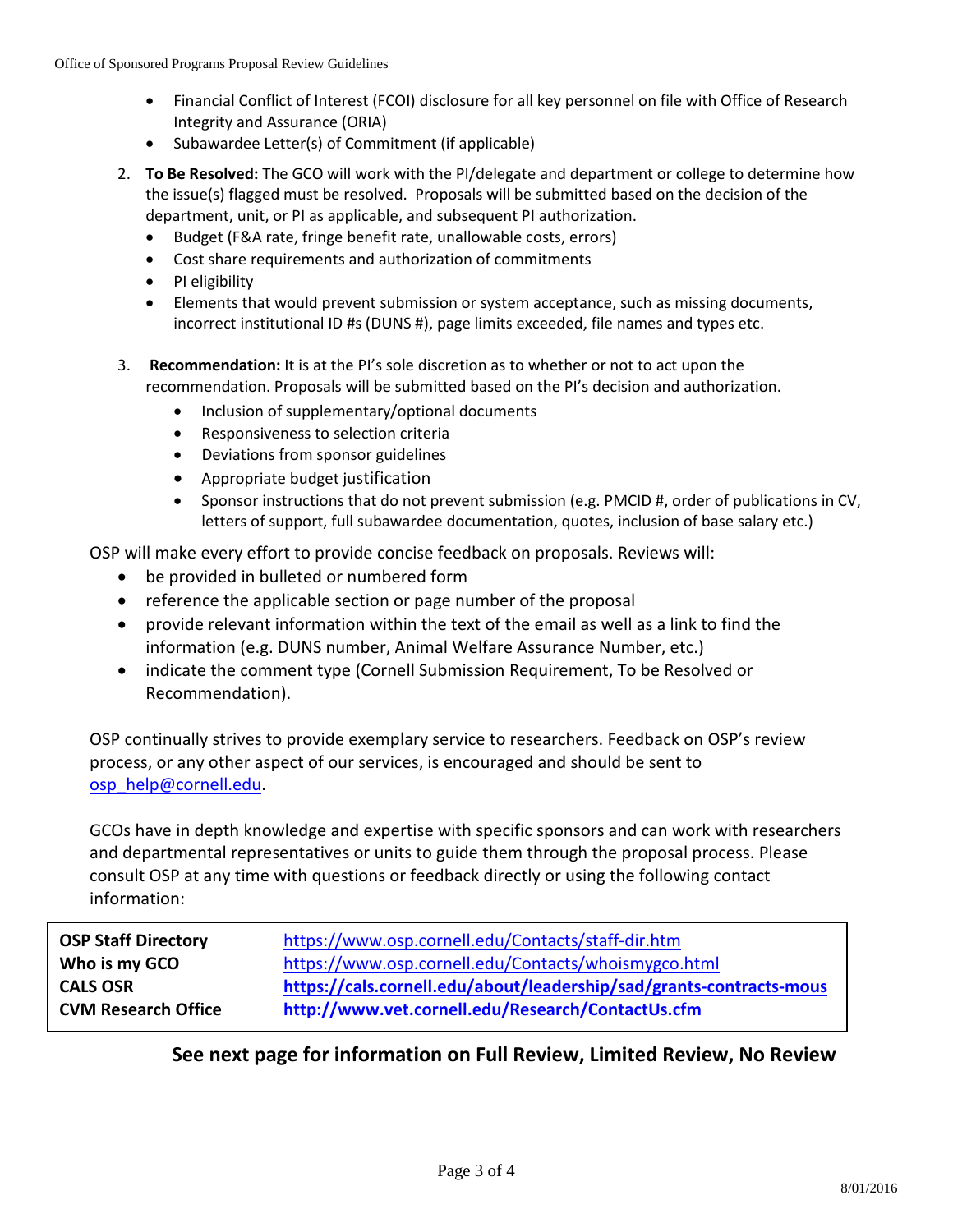- Financial Conflict of Interest (FCOI) disclosure for all key personnel on file with Office of Research Integrity and Assurance (ORIA)
- Subawardee Letter(s) of Commitment (if applicable)
- 2. **To Be Resolved:** The GCO will work with the PI/delegate and department or college to determine how the issue(s) flagged must be resolved. Proposals will be submitted based on the decision of the department, unit, or PI as applicable, and subsequent PI authorization.
	- Budget (F&A rate, fringe benefit rate, unallowable costs, errors)
	- Cost share requirements and authorization of commitments
	- PI eligibility
	- Elements that would prevent submission or system acceptance, such as missing documents, incorrect institutional ID #s (DUNS #), page limits exceeded, file names and types etc.
- 3. **Recommendation:** It is at the PI's sole discretion as to whether or not to act upon the recommendation. Proposals will be submitted based on the PI's decision and authorization.
	- Inclusion of supplementary/optional documents
	- Responsiveness to selection criteria
	- Deviations from sponsor guidelines
	- Appropriate budget justification
	- Sponsor instructions that do not prevent submission (e.g. PMCID #, order of publications in CV, letters of support, full subawardee documentation, quotes, inclusion of base salary etc.)

OSP will make every effort to provide concise feedback on proposals. Reviews will:

- be provided in bulleted or numbered form
- reference the applicable section or page number of the proposal
- provide relevant information within the text of the email as well as a link to find the information (e.g. DUNS number, Animal Welfare Assurance Number, etc.)
- indicate the comment type (Cornell Submission Requirement, To be Resolved or Recommendation).

OSP continually strives to provide exemplary service to researchers. Feedback on OSP's review process, or any other aspect of our services, is encouraged and should be sent to [osp\\_help@cornell.edu.](mailto:osp_help@cornell.edu)

GCOs have in depth knowledge and expertise with specific sponsors and can work with researchers and departmental representatives or units to guide them through the proposal process. Please consult OSP at any time with questions or feedback directly or using the following contact information:

| <b>OSP Staff Directory</b> | https://www.osp.cornell.edu/Contacts/staff-dir.htm                  |
|----------------------------|---------------------------------------------------------------------|
| Who is my GCO              | https://www.osp.cornell.edu/Contacts/whoismygco.html                |
| <b>CALS OSR</b>            | https://cals.cornell.edu/about/leadership/sad/grants-contracts-mous |
| <b>CVM Research Office</b> | http://www.vet.cornell.edu/Research/ContactUs.cfm                   |

### **See next page for information on Full Review, Limited Review, No Review**